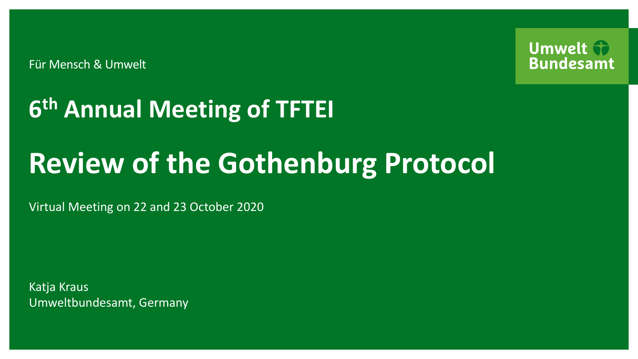Für Mensch & Umwelt



# **6 th Annual Meeting of TFTEI**

# **Review of the Gothenburg Protocol**

Virtual Meeting on 22 and 23 October 2020

Katja Kraus Umweltbundesamt, Germany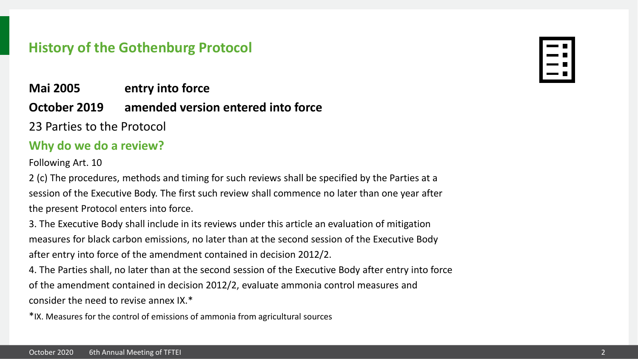## **History of the Gothenburg Protocol**

# **Mai 2005 entry into force**

# **October 2019 amended version entered into force**

23 Parties to the Protocol

### **Why do we do a review?**

Following Art. 10

2 (c) The procedures, methods and timing for such reviews shall be specified by the Parties at a session of the Executive Body. The first such review shall commence no later than one year after the present Protocol enters into force.

3. The Executive Body shall include in its reviews under this article an evaluation of mitigation measures for black carbon emissions, no later than at the second session of the Executive Body after entry into force of the amendment contained in decision 2012/2.

4. The Parties shall, no later than at the second session of the Executive Body after entry into force of the amendment contained in decision 2012/2, evaluate ammonia control measures and consider the need to revise annex IX.\*

\*IX. Measures for the control of emissions of ammonia from agricultural sources

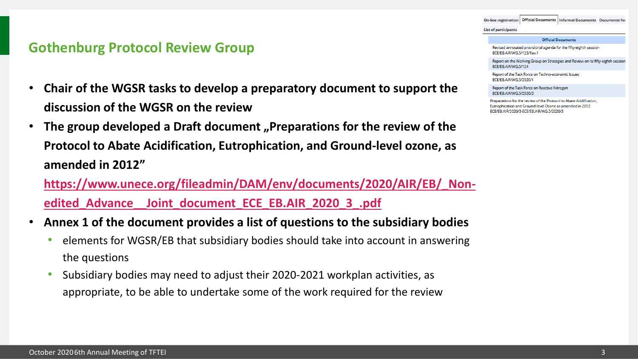On-line registration | Official Documents | Informal Documents Documents for

#### **List of participants**

#### **Official Documents**

Revised annotated provisional agenda for the fifty-eighth session ECE/EB.AIR/WG.5/123/Rev.1

Report on the Working Group on Strategies and Review on its fifty-eighth session ECE/EB.AIR/WG.5/124

Report of the Task Force on Techno-economic Issues ECE/EB.AIR/WG.5/2020/1

Report of the Task Force on Reactive Nitrogen ECE/EB.AIR/WG.5/2020/2

Preparations for the review of the Protocol to Abate Acidification, Eutrophication and Ground-level Ozone as amended in 2012 ECE/EB.AIR/2020/3-ECE/EB.AIR/WG.5/2020/3

### **Gothenburg Protocol Review Group**

- **Chair of the WGSR tasks to develop a preparatory document to support the discussion of the WGSR on the review**
- **The group developed a Draft document "Preparations for the review of the Protocol to Abate Acidification, Eutrophication, and Ground-level ozone, as amended in 2012"**

**[https://www.unece.org/fileadmin/DAM/env/documents/2020/AIR/EB/\\_Non](https://www.unece.org/fileadmin/DAM/env/documents/2020/AIR/EB/_Non-edited_Advance__Joint_document_ECE_EB.AIR_2020_3_.pdf)edited\_Advance\_\_Joint\_document\_ECE\_EB.AIR\_2020\_3\_.pdf**

- **Annex 1 of the document provides a list of questions to the subsidiary bodies** 
	- elements for WGSR/EB that subsidiary bodies should take into account in answering the questions
	- Subsidiary bodies may need to adjust their 2020-2021 workplan activities, as appropriate, to be able to undertake some of the work required for the review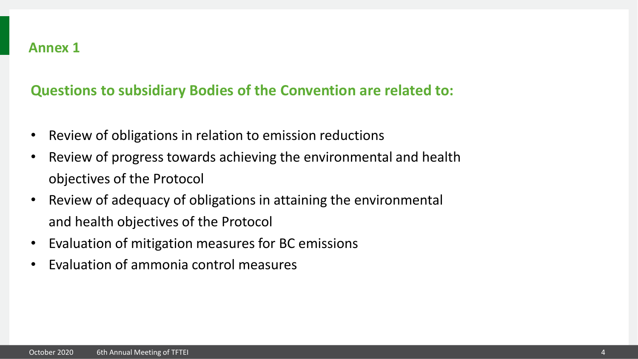# **Questions to subsidiary Bodies of the Convention are related to:**

- Review of obligations in relation to emission reductions
- Review of progress towards achieving the environmental and health objectives of the Protocol
- Review of adequacy of obligations in attaining the environmental and health objectives of the Protocol
- Evaluation of mitigation measures for BC emissions
- Evaluation of ammonia control measures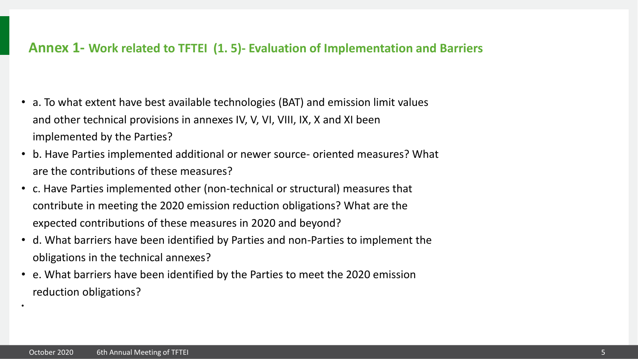#### **Annex 1- Work related to TFTEI (1. 5)- Evaluation of Implementation and Barriers**

- a. To what extent have best available technologies (BAT) and emission limit values and other technical provisions in annexes IV, V, VI, VIII, IX, X and XI been implemented by the Parties?
- b. Have Parties implemented additional or newer source- oriented measures? What are the contributions of these measures?
- c. Have Parties implemented other (non-technical or structural) measures that contribute in meeting the 2020 emission reduction obligations? What are the expected contributions of these measures in 2020 and beyond?
- d. What barriers have been identified by Parties and non-Parties to implement the obligations in the technical annexes?
- e. What barriers have been identified by the Parties to meet the 2020 emission reduction obligations?

•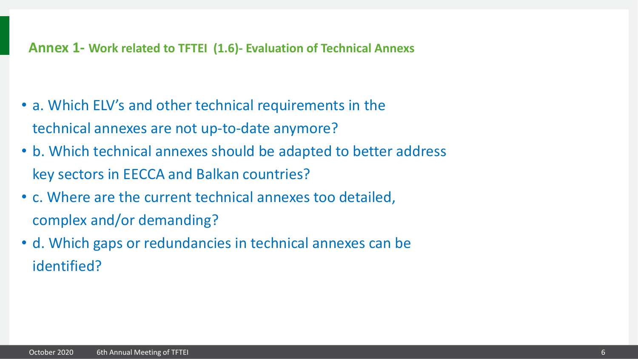### **Annex 1- Work related to TFTEI (1.6)- Evaluation of Technical Annexs**

- a. Which ELV's and other technical requirements in the technical annexes are not up-to-date anymore?
- b. Which technical annexes should be adapted to better address key sectors in EECCA and Balkan countries?
- c. Where are the current technical annexes too detailed, complex and/or demanding?
- d. Which gaps or redundancies in technical annexes can be identified?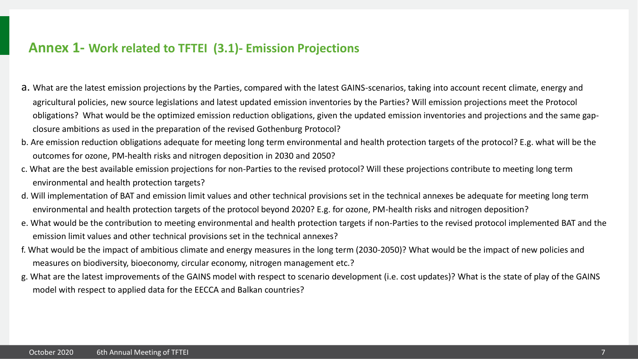#### **Annex 1- Work related to TFTEI (3.1)- Emission Projections**

- a. What are the latest emission projections by the Parties, compared with the latest GAINS-scenarios, taking into account recent climate, energy and agricultural policies, new source legislations and latest updated emission inventories by the Parties? Will emission projections meet the Protocol obligations? What would be the optimized emission reduction obligations, given the updated emission inventories and projections and the same gapclosure ambitions as used in the preparation of the revised Gothenburg Protocol?
- b. Are emission reduction obligations adequate for meeting long term environmental and health protection targets of the protocol? E.g. what will be the outcomes for ozone, PM-health risks and nitrogen deposition in 2030 and 2050?
- c. What are the best available emission projections for non-Parties to the revised protocol? Will these projections contribute to meeting long term environmental and health protection targets?
- d. Will implementation of BAT and emission limit values and other technical provisions set in the technical annexes be adequate for meeting long term environmental and health protection targets of the protocol beyond 2020? E.g. for ozone, PM-health risks and nitrogen deposition?
- e. What would be the contribution to meeting environmental and health protection targets if non-Parties to the revised protocol implemented BAT and the emission limit values and other technical provisions set in the technical annexes?
- f. What would be the impact of ambitious climate and energy measures in the long term (2030-2050)? What would be the impact of new policies and measures on biodiversity, bioeconomy, circular economy, nitrogen management etc.?
- g. What are the latest improvements of the GAINS model with respect to scenario development (i.e. cost updates)? What is the state of play of the GAINS model with respect to applied data for the EECCA and Balkan countries?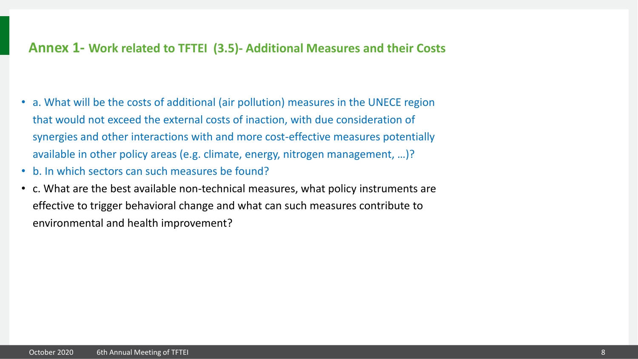#### **Annex 1- Work related to TFTEI (3.5)- Additional Measures and their Costs**

- a. What will be the costs of additional (air pollution) measures in the UNECE region that would not exceed the external costs of inaction, with due consideration of synergies and other interactions with and more cost-effective measures potentially available in other policy areas (e.g. climate, energy, nitrogen management, …)?
- b. In which sectors can such measures be found?
- c. What are the best available non-technical measures, what policy instruments are effective to trigger behavioral change and what can such measures contribute to environmental and health improvement?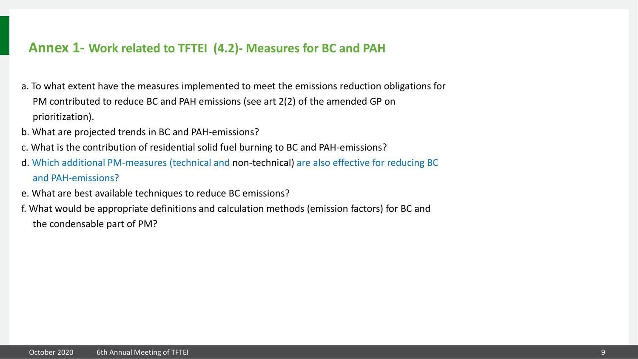#### **Annex 1- Work related to TFTEI (4.2)- Measures for BC and PAH**

- a. To what extent have the measures implemented to meet the emissions reduction obligations for PM contributed to reduce BC and PAH emissions (see art 2(2) of the amended GP on prioritization).
- b. What are projected trends in BC and PAH-emissions?
- c. What is the contribution of residential solid fuel burning to BC and PAH-emissions?
- d. Which additional PM-measures (technical and non-technical) are also effective for reducing BC and PAH-emissions?
- e. What are best available techniques to reduce BC emissions?
- f. What would be appropriate definitions and calculation methods (emission factors) for BC and the condensable part of PM?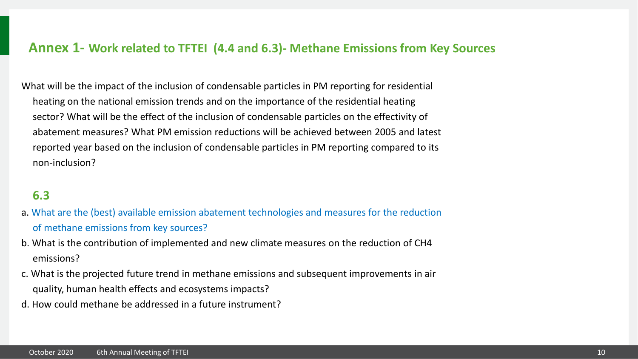#### **Annex 1- Work related to TFTEI (4.4 and 6.3)- Methane Emissions from Key Sources**

What will be the impact of the inclusion of condensable particles in PM reporting for residential heating on the national emission trends and on the importance of the residential heating sector? What will be the effect of the inclusion of condensable particles on the effectivity of abatement measures? What PM emission reductions will be achieved between 2005 and latest reported year based on the inclusion of condensable particles in PM reporting compared to its non-inclusion?

#### **6.3**

- a. What are the (best) available emission abatement technologies and measures for the reduction of methane emissions from key sources?
- b. What is the contribution of implemented and new climate measures on the reduction of CH4 emissions?
- c. What is the projected future trend in methane emissions and subsequent improvements in air quality, human health effects and ecosystems impacts?
- d. How could methane be addressed in a future instrument?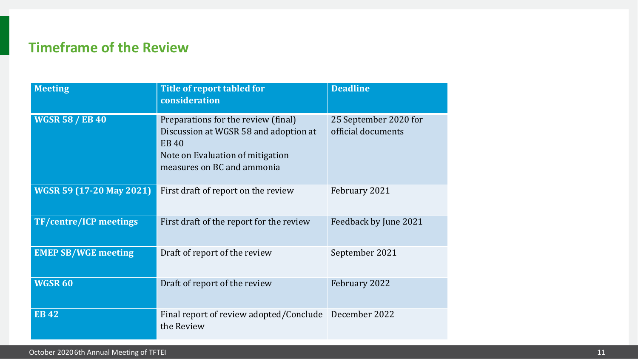# **Timeframe of the Review**

| <b>Meeting</b>                  | Title of report tabled for<br>consideration                                                                                                                   | <b>Deadline</b>                             |
|---------------------------------|---------------------------------------------------------------------------------------------------------------------------------------------------------------|---------------------------------------------|
| <b>WGSR 58 / EB 40</b>          | Preparations for the review (final)<br>Discussion at WGSR 58 and adoption at<br><b>EB40</b><br>Note on Evaluation of mitigation<br>measures on BC and ammonia | 25 September 2020 for<br>official documents |
| <b>WGSR 59 (17-20 May 2021)</b> | First draft of report on the review                                                                                                                           | February 2021                               |
| <b>TF/centre/ICP meetings</b>   | First draft of the report for the review                                                                                                                      | Feedback by June 2021                       |
| <b>EMEP SB/WGE meeting</b>      | Draft of report of the review                                                                                                                                 | September 2021                              |
| <b>WGSR 60</b>                  | Draft of report of the review                                                                                                                                 | February 2022                               |
| <b>EB42</b>                     | Final report of review adopted/Conclude<br>the Review                                                                                                         | December 2022                               |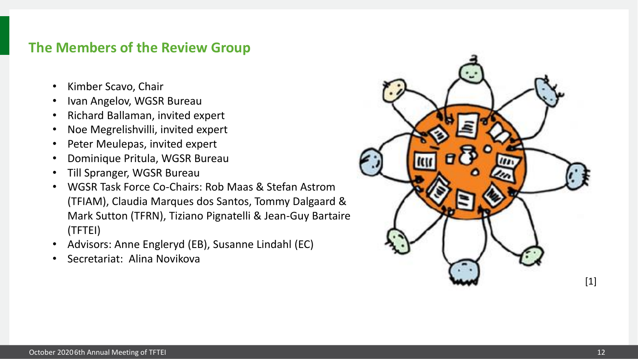## **The Members of the Review Group**

- Kimber Scavo, Chair
- Ivan Angelov, WGSR Bureau
- Richard Ballaman, invited expert
- Noe Megrelishvilli, invited expert
- Peter Meulepas, invited expert
- Dominique Pritula, WGSR Bureau
- Till Spranger, WGSR Bureau
- WGSR Task Force Co-Chairs: Rob Maas & Stefan Astrom (TFIAM), Claudia Marques dos Santos, Tommy Dalgaard & Mark Sutton (TFRN), Tiziano Pignatelli & Jean-Guy Bartaire (TFTEI)
- Advisors: Anne Engleryd (EB), Susanne Lindahl (EC)
- Secretariat: Alina Novikova